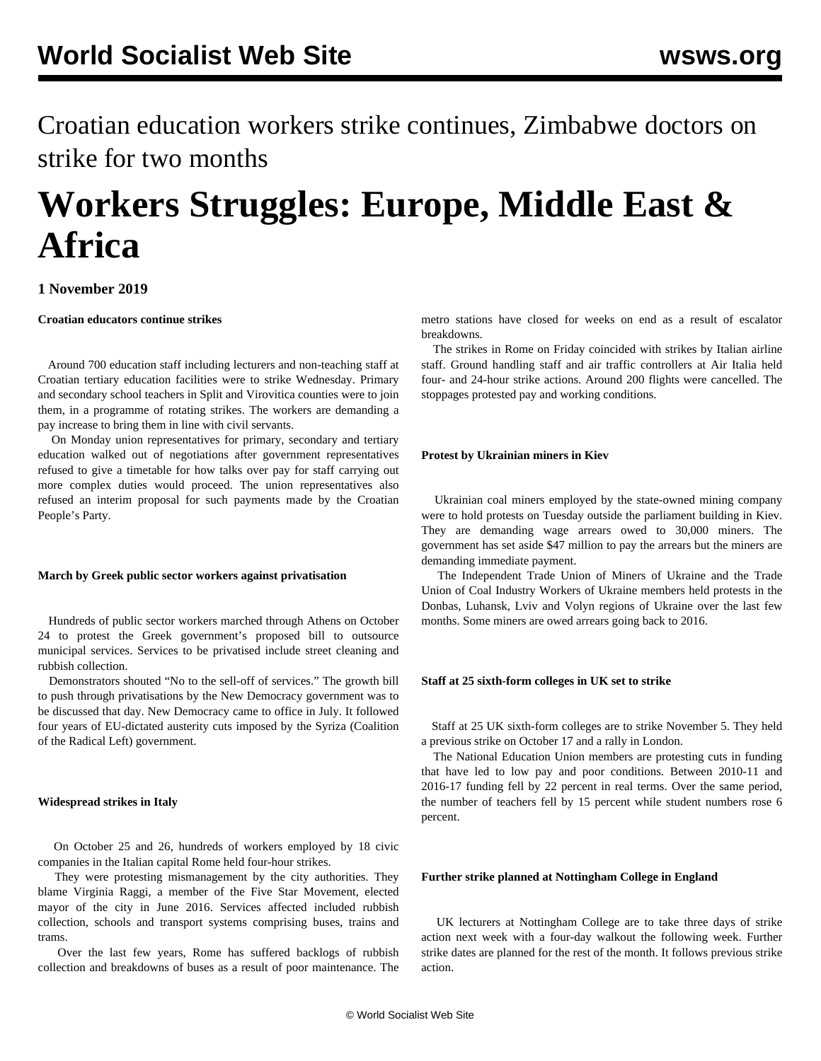Croatian education workers strike continues, Zimbabwe doctors on strike for two months

# **Workers Struggles: Europe, Middle East & Africa**

## **1 November 2019**

**Croatian educators continue strikes**

 Around 700 education staff including lecturers and non-teaching staff at Croatian tertiary education facilities were to strike Wednesday. Primary and secondary school teachers in Split and Virovitica counties were to join them, in a programme of rotating strikes. The workers are demanding a pay increase to bring them in line with civil servants.

 On Monday union representatives for primary, secondary and tertiary education walked out of negotiations after government representatives refused to give a timetable for how talks over pay for staff carrying out more complex duties would proceed. The union representatives also refused an interim proposal for such payments made by the Croatian People's Party.

#### **March by Greek public sector workers against privatisation**

 Hundreds of public sector workers marched through Athens on October 24 to protest the Greek government's proposed bill to outsource municipal services. Services to be privatised include street cleaning and rubbish collection.

 Demonstrators shouted "No to the sell-off of services." The growth bill to push through privatisations by the New Democracy government was to be discussed that day. New Democracy came to office in July. It followed four years of EU-dictated austerity cuts imposed by the Syriza (Coalition of the Radical Left) government.

#### **Widespread strikes in Italy**

 On October 25 and 26, hundreds of workers employed by 18 civic companies in the Italian capital Rome held four-hour strikes.

 They were protesting mismanagement by the city authorities. They blame Virginia Raggi, a member of the Five Star Movement, elected mayor of the city in June 2016. Services affected included rubbish collection, schools and transport systems comprising buses, trains and trams.

 Over the last few years, Rome has suffered backlogs of rubbish collection and breakdowns of buses as a result of poor maintenance. The

metro stations have closed for weeks on end as a result of escalator breakdowns.

 The strikes in Rome on Friday coincided with strikes by Italian airline staff. Ground handling staff and air traffic controllers at Air Italia held four- and 24-hour strike actions. Around 200 flights were cancelled. The stoppages protested pay and working conditions.

#### **Protest by Ukrainian miners in Kiev**

 Ukrainian coal miners employed by the state-owned mining company were to hold protests on Tuesday outside the parliament building in Kiev. They are demanding wage arrears owed to 30,000 miners. The government has set aside \$47 million to pay the arrears but the miners are demanding immediate payment.

 The Independent Trade Union of Miners of Ukraine and the Trade Union of Coal Industry Workers of Ukraine members held protests in the Donbas, Luhansk, Lviv and Volyn regions of Ukraine over the last few months. Some miners are owed arrears going back to 2016.

#### **Staff at 25 sixth-form colleges in UK set to strike**

 Staff at 25 UK sixth-form colleges are to strike November 5. They held a previous strike on October 17 and a rally in London.

 The National Education Union members are protesting cuts in funding that have led to low pay and poor conditions. Between 2010-11 and 2016-17 funding fell by 22 percent in real terms. Over the same period, the number of teachers fell by 15 percent while student numbers rose 6 percent.

#### **Further strike planned at Nottingham College in England**

 UK lecturers at Nottingham College are to take three days of strike action next week with a four-day walkout the following week. Further strike dates are planned for the rest of the month. It follows previous strike action.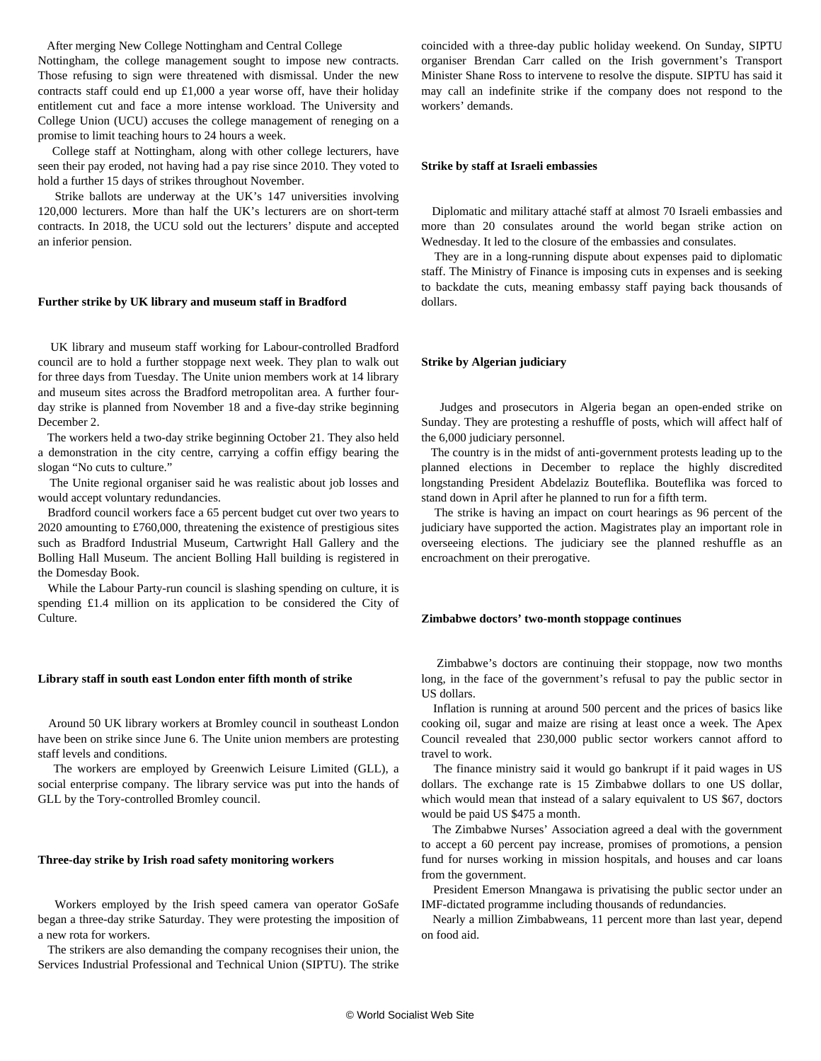After merging New College Nottingham and Central College

Nottingham, the college management sought to impose new contracts. Those refusing to sign were threatened with dismissal. Under the new contracts staff could end up £1,000 a year worse off, have their holiday entitlement cut and face a more intense workload. The University and College Union (UCU) accuses the college management of reneging on a promise to limit teaching hours to 24 hours a week.

 College staff at Nottingham, along with other college lecturers, have seen their pay eroded, not having had a pay rise since 2010. They voted to hold a further 15 days of strikes throughout November.

 Strike ballots are underway at the UK's 147 universities involving 120,000 lecturers. More than half the UK's lecturers are on short-term contracts. In 2018, the UCU sold out the lecturers' dispute and accepted an inferior pension.

#### **Further strike by UK library and museum staff in Bradford**

 UK library and museum staff working for Labour-controlled Bradford council are to hold a further stoppage next week. They plan to walk out for three days from Tuesday. The Unite union members work at 14 library and museum sites across the Bradford metropolitan area. A further fourday strike is planned from November 18 and a five-day strike beginning December 2.

 The workers held a two-day strike beginning October 21. They also held a demonstration in the city centre, carrying a coffin effigy bearing the slogan "No cuts to culture."

 The Unite regional organiser said he was realistic about job losses and would accept voluntary redundancies.

 Bradford council workers face a 65 percent budget cut over two years to 2020 amounting to £760,000, threatening the existence of prestigious sites such as Bradford Industrial Museum, Cartwright Hall Gallery and the Bolling Hall Museum. The ancient Bolling Hall building is registered in the Domesday Book.

 While the Labour Party-run council is slashing spending on culture, it is spending £1.4 million on its application to be considered the City of Culture.

#### **Library staff in south east London enter fifth month of strike**

 Around 50 UK library workers at Bromley council in southeast London have been on strike since June 6. The Unite union members are protesting staff levels and conditions.

 The workers are employed by Greenwich Leisure Limited (GLL), a social enterprise company. The library service was put into the hands of GLL by the Tory-controlled Bromley council.

### **Three-day strike by Irish road safety monitoring workers**

 Workers employed by the Irish speed camera van operator GoSafe began a three-day strike Saturday. They were protesting the imposition of a new rota for workers.

 The strikers are also demanding the company recognises their union, the Services Industrial Professional and Technical Union (SIPTU). The strike

coincided with a three-day public holiday weekend. On Sunday, SIPTU organiser Brendan Carr called on the Irish government's Transport Minister Shane Ross to intervene to resolve the dispute. SIPTU has said it may call an indefinite strike if the company does not respond to the workers' demands.

#### **Strike by staff at Israeli embassies**

 Diplomatic and military attaché staff at almost 70 Israeli embassies and more than 20 consulates around the world began strike action on Wednesday. It led to the closure of the embassies and consulates.

 They are in a long-running dispute about expenses paid to diplomatic staff. The Ministry of Finance is imposing cuts in expenses and is seeking to backdate the cuts, meaning embassy staff paying back thousands of dollars.

#### **Strike by Algerian judiciary**

| Judges and prosecutors in Algeria began an open-ended strike on             |  |  |  |  |
|-----------------------------------------------------------------------------|--|--|--|--|
| Sunday. They are protesting a reshuffle of posts, which will affect half of |  |  |  |  |
| the 6,000 judiciary personnel.                                              |  |  |  |  |

 The country is in the midst of anti-government protests leading up to the planned elections in December to replace the highly discredited longstanding President Abdelaziz Bouteflika. Bouteflika was forced to stand down in April after he planned to run for a fifth term.

 The strike is having an impact on court hearings as 96 percent of the judiciary have supported the action. Magistrates play an important role in overseeing elections. The judiciary see the planned reshuffle as an encroachment on their prerogative.

#### **Zimbabwe doctors' two-month stoppage continues**

 Zimbabwe's doctors are continuing their stoppage, now two months long, in the face of the government's refusal to pay the public sector in US dollars.

 Inflation is running at around 500 percent and the prices of basics like cooking oil, sugar and maize are rising at least once a week. The Apex Council revealed that 230,000 public sector workers cannot afford to travel to work.

 The finance ministry said it would go bankrupt if it paid wages in US dollars. The exchange rate is 15 Zimbabwe dollars to one US dollar, which would mean that instead of a salary equivalent to US \$67, doctors would be paid US \$475 a month.

 The Zimbabwe Nurses' Association agreed a deal with the government to accept a 60 percent pay increase, promises of promotions, a pension fund for nurses working in mission hospitals, and houses and car loans from the government.

 President Emerson Mnangawa is privatising the public sector under an IMF-dictated programme including thousands of redundancies.

 Nearly a million Zimbabweans, 11 percent more than last year, depend on food aid.